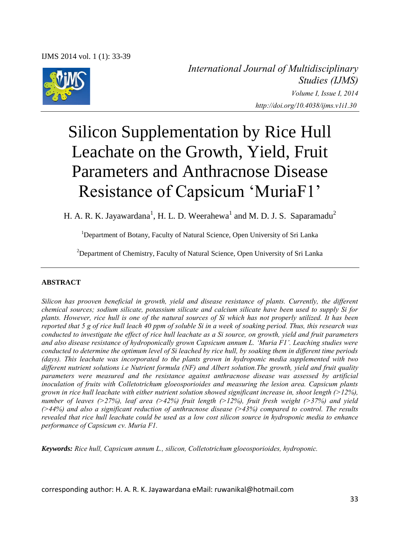IJMS 2014 vol. 1 (1): 33-39



*International Journal of Multidisciplinary Studies (IJMS) Volume I, Issue I, 2014 http://doi.org/10.4038/ijms.v1i1.30* 

# Silicon Supplementation by Rice Hull Leachate on the Growth, Yield, Fruit Parameters and Anthracnose Disease Resistance of Capsicum 'MuriaF1'

H. A. R. K. Jayawardana<sup>1</sup>, H. L. D. Weerahewa<sup>1</sup> and M. D. J. S. Saparamadu<sup>2</sup>

<sup>1</sup>Department of Botany, Faculty of Natural Science, Open University of Sri Lanka

<sup>2</sup>Department of Chemistry, Faculty of Natural Science, Open University of Sri Lanka

## **ABSTRACT**

*Silicon has prooven beneficial in growth, yield and disease resistance of plants. Currently, the different chemical sources; sodium silicate, potassium silicate and calcium silicate have been used to supply Si for plants. However, rice hull is one of the natural sources of Si which has not properly utilized. It has been reported that 5 g of rice hull leach 40 ppm of soluble Si in a week of soaking period. Thus, this research was conducted to investigate the effect of rice hull leachate as a Si source, on growth, yield and fruit parameters and also disease resistance of hydroponically grown Capsicum annum L. 'Muria F1'. Leaching studies were conducted to determine the optimum level of Si leached by rice hull, by soaking them in different time periods (days). This leachate was incorporated to the plants grown in hydroponic media supplemented with two different nutrient solutions i.e Nutrient formula (NF) and Albert solution.The growth, yield and fruit quality parameters were measured and the resistance against anthracnose disease was assessed by artificial inoculation of fruits with Colletotrichum gloeosporioides and measuring the lesion area. Capsicum plants grown in rice hull leachate with either nutrient solution showed significant increase in, shoot length (>12%), number of leaves (>27%), leaf area (>42%) fruit length (>12%), fruit fresh weight (>37%) and yield (>44%) and also a significant reduction of anthracnose disease (>43%) compared to control. The results revealed that rice hull leachate could be used as a low cost silicon source in hydroponic media to enhance performance of Capsicum cv. Muria F1.*

*Keywords: Rice hull, Capsicum annum L., silicon, Colletotrichum gloeosporioides, hydroponic.* 

corresponding author: H. A. R. K. Jayawardana eMail: ruwanikal@hotmail.com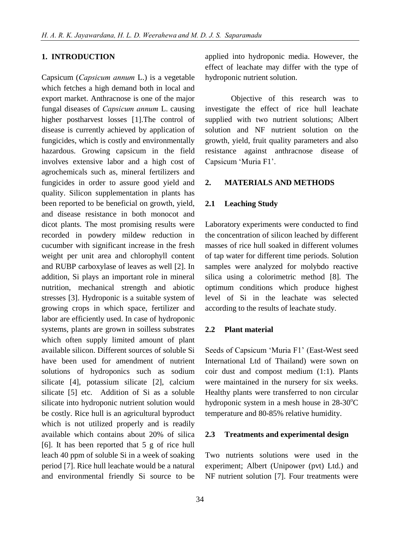## **1. INTRODUCTION**

Capsicum (*Capsicum annum* L.) is a vegetable which fetches a high demand both in local and export market. Anthracnose is one of the major fungal diseases of *Capsicum annum* L. causing higher postharvest losses [1].The control of disease is currently achieved by application of fungicides, which is costly and environmentally hazardous. Growing capsicum in the field involves extensive labor and a high cost of agrochemicals such as, mineral fertilizers and fungicides in order to assure good yield and quality. Silicon supplementation in plants has been reported to be beneficial on growth, yield, and disease resistance in both monocot and dicot plants. The most promising results were recorded in powdery mildew reduction in cucumber with significant increase in the fresh weight per unit area and chlorophyll content and RUBP carboxylase of leaves as well [2]. In addition, Si plays an important role in mineral nutrition, mechanical strength and abiotic stresses [3]. Hydroponic is a suitable system of growing crops in which space, fertilizer and labor are efficiently used. In case of hydroponic systems, plants are grown in soilless substrates which often supply limited amount of plant available silicon. Different sources of soluble Si have been used for amendment of nutrient solutions of hydroponics such as sodium silicate [4], potassium silicate [2], calcium silicate [5] etc. Addition of Si as a soluble silicate into hydroponic nutrient solution would be costly. Rice hull is an agricultural byproduct which is not utilized properly and is readily available which contains about 20% of silica [6]. It has been reported that 5 g of rice hull leach 40 ppm of soluble Si in a week of soaking period [7]. Rice hull leachate would be a natural and environmental friendly Si source to be

applied into hydroponic media. However, the effect of leachate may differ with the type of hydroponic nutrient solution.

Objective of this research was to investigate the effect of rice hull leachate supplied with two nutrient solutions; Albert solution and NF nutrient solution on the growth, yield, fruit quality parameters and also resistance against anthracnose disease of Capsicum 'Muria F1'.

#### **2. MATERIALS AND METHODS**

## **2.1 Leaching Study**

Laboratory experiments were conducted to find the concentration of silicon leached by different masses of rice hull soaked in different volumes of tap water for different time periods. Solution samples were analyzed for molybdo reactive silica using a colorimetric method [8]. The optimum conditions which produce highest level of Si in the leachate was selected according to the results of leachate study.

### **2.2 Plant material**

Seeds of Capsicum 'Muria F1' (East-West seed International Ltd of Thailand) were sown on coir dust and compost medium (1:1). Plants were maintained in the nursery for six weeks. Healthy plants were transferred to non circular hydroponic system in a mesh house in  $28-30^{\circ}$ C temperature and 80-85% relative humidity.

## **2.3 Treatments and experimental design**

Two nutrients solutions were used in the experiment; Albert (Unipower (pvt) Ltd.) and NF nutrient solution [7]. Four treatments were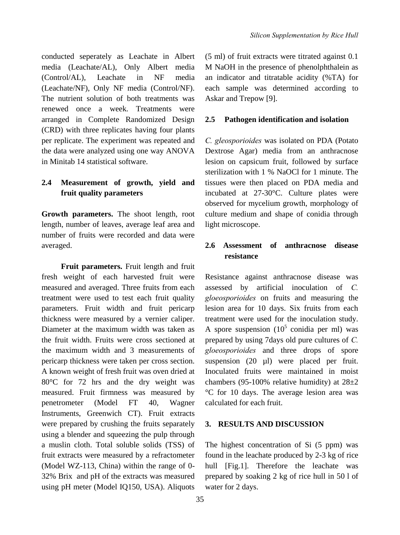conducted seperately as Leachate in Albert media (Leachate/AL), Only Albert media (Control/AL), Leachate in NF media (Leachate/NF), Only NF media (Control/NF). The nutrient solution of both treatments was renewed once a week. Treatments were arranged in Complete Randomized Design (CRD) with three replicates having four plants per replicate. The experiment was repeated and the data were analyzed using one way ANOVA in Minitab 14 statistical software.

## **2.4 Measurement of growth, yield and fruit quality parameters**

**Growth parameters.** The shoot length, root length, number of leaves, average leaf area and number of fruits were recorded and data were averaged.

**Fruit parameters.** Fruit length and fruit fresh weight of each harvested fruit were measured and averaged. Three fruits from each treatment were used to test each fruit quality parameters. Fruit width and fruit pericarp thickness were measured by a vernier caliper. Diameter at the maximum width was taken as the fruit width. Fruits were cross sectioned at the maximum width and 3 measurements of pericarp thickness were taken per cross section. A known weight of fresh fruit was oven dried at 80°C for 72 hrs and the dry weight was measured. Fruit firmness was measured by penetrometer (Model FT 40, Wagner Instruments, Greenwich CT). Fruit extracts were prepared by crushing the fruits separately using a blender and squeezing the pulp through a muslin cloth. Total soluble solids (TSS) of fruit extracts were measured by a refractometer (Model WZ-113, China) within the range of 0- 32% Brix and pH of the extracts was measured using pH meter (Model IQ150, USA). Aliquots

(5 ml) of fruit extracts were titrated against 0.1 M NaOH in the presence of phenolphthalein as an indicator and titratable acidity (%TA) for each sample was determined according to Askar and Trepow [9].

### **2.5 Pathogen identification and isolation**

*C. gleosporioides* was isolated on PDA (Potato Dextrose Agar) media from an anthracnose lesion on capsicum fruit, followed by surface sterilization with 1 % NaOCl for 1 minute. The tissues were then placed on PDA media and incubated at 27-30°C. Culture plates were observed for mycelium growth, morphology of culture medium and shape of conidia through light microscope.

## **2.6 Assessment of anthracnose disease resistance**

Resistance against anthracnose disease was assessed by artificial inoculation of *C. gloeosporioides* on fruits and measuring the lesion area for 10 days. Six fruits from each treatment were used for the inoculation study. A spore suspension  $(10^5 \text{ conidia per ml})$  was prepared by using 7days old pure cultures of *C. gloeosporioides* and three drops of spore suspension (20 µl) were placed per fruit. Inoculated fruits were maintained in moist chambers (95-100% relative humidity) at  $28\pm2$ °C for 10 days. The average lesion area was calculated for each fruit.

## **3. RESULTS AND DISCUSSION**

The highest concentration of Si (5 ppm) was found in the leachate produced by 2-3 kg of rice hull [Fig.1]. Therefore the leachate was prepared by soaking 2 kg of rice hull in 50 l of water for 2 days.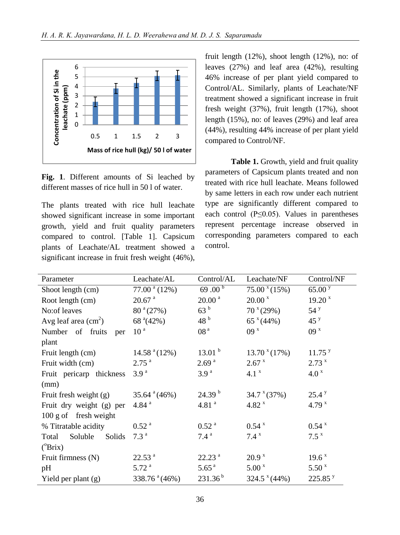

**Fig. 1**. Different amounts of Si leached by different masses of rice hull in 50 l of water.

The plants treated with rice hull leachate showed significant increase in some important growth, yield and fruit quality parameters compared to control. [Table 1]. Capsicum plants of Leachate/AL treatment showed a significant increase in fruit fresh weight (46%), fruit length (12%), shoot length (12%), no: of leaves (27%) and leaf area (42%), resulting 46% increase of per plant yield compared to Control/AL. Similarly, plants of Leachate/NF treatment showed a significant increase in fruit fresh weight (37%), fruit length (17%), shoot length (15%), no: of leaves (29%) and leaf area (44%), resulting 44% increase of per plant yield compared to Control/NF.

Table 1. Growth, yield and fruit quality parameters of Capsicum plants treated and non treated with rice hull leachate. Means followed by same letters in each row under each nutrient type are significantly different compared to each control  $(P \le 0.05)$ . Values in parentheses represent percentage increase observed in corresponding parameters compared to each control.

| Parameter                     | Leachate/AL                   | Control/AL          | Leachate/NF             | Control/NF          |
|-------------------------------|-------------------------------|---------------------|-------------------------|---------------------|
| Shoot length (cm)             | $77.00^{\text{ a}} (12\%)$    | 69.00 <sup>b</sup>  | $75.00 \times (15\%)$   | 65.00 <sup>y</sup>  |
| Root length (cm)              | $20.67$ <sup>a</sup>          | 20.00 <sup>a</sup>  | 20.00 <sup>x</sup>      | 19.20 <sup>x</sup>  |
| No:of leaves                  | $80^{\circ} (27\%)$           | 63 <sup>b</sup>     | $70^{\text{x}}(29\%)$   | $54^{\mathrm{y}}$   |
| Avg leaf area $\text{cm}^2$ ) | 68 $^{\circ}(42\%)$           | 48 <sup>b</sup>     | $65^x(44\%)$            | 45 <sup>y</sup>     |
| Number of fruits<br>per       | 10 <sup>a</sup>               | 08 <sup>a</sup>     | 09 <sup>x</sup>         | 09 <sup>x</sup>     |
| plant                         |                               |                     |                         |                     |
| Fruit length (cm)             | 14.58 <sup>a</sup> (12%)      | 13.01 <sup>b</sup>  | $13.70$ $*(17\%)$       | 11.75 <sup>y</sup>  |
| Fruit width (cm)              | $2.75$ <sup>a</sup>           | 2.69 <sup>a</sup>   | 2.67 x                  | 2.73 x              |
| Fruit pericarp thickness      | 3.9 <sup>a</sup>              | 3.9 <sup>a</sup>    | 4.1 <sup>x</sup>        | 4.0 <sup>x</sup>    |
| (mm)                          |                               |                     |                         |                     |
| Fruit fresh weight (g)        | $35.64$ <sup>a</sup> $(46\%)$ | 24.39 <sup>b</sup>  | 34.7 <sup>x</sup> (37%) | 25.4 y              |
| Fruit dry weight (g) per      | 4.84 $^{a}$                   | 4.81 $^{a}$         | 4.82 $^{x}$             | 4.79 $x$            |
| 100 g of fresh weight         |                               |                     |                         |                     |
| % Titratable acidity          | $0.52$ <sup>a</sup>           | $0.52$ <sup>a</sup> | $0.54~^{\rm x}$         | $0.54~^{\rm x}$     |
| Soluble<br>Total<br>Solids    | 7.3 <sup>a</sup>              | 7.4 <sup>a</sup>    | 7.4 x                   | $7.5^{\mathrm{x}}$  |
| $(^{\circ}Brix)$              |                               |                     |                         |                     |
| Fruit firmness (N)            | 22.53 <sup>a</sup>            | 22.23 <sup>a</sup>  | 20.9 <sup>x</sup>       | 19.6 x              |
| pH                            | 5.72 <sup>a</sup>             | 5.65 <sup>a</sup>   | 5.00 <sup>x</sup>       | 5.50 <sup>x</sup>   |
| Yield per plant $(g)$         | 338.76 $^{a}(46%)$            | $231.36^{b}$        | $324.5$ $*(44\%)$       | 225.85 <sup>y</sup> |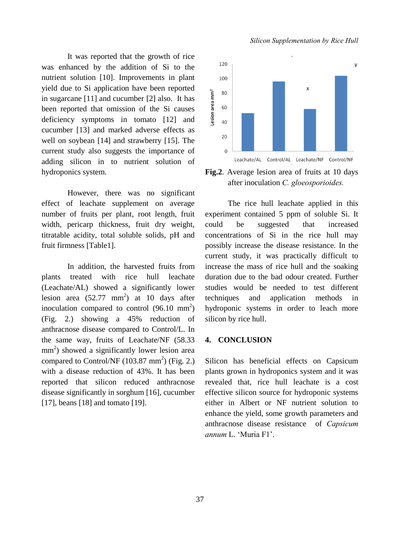It was reported that the growth of rice was enhanced by the addition of Si to the nutrient solution [10]. Improvements in plant yield due to Si application have been reported in sugarcane [11] and cucumber [2] also. It has been reported that omission of the Si causes deficiency symptoms in tomato [12] and cucumber [13] and marked adverse effects as well on soybean [14] and strawberry [15]. The current study also suggests the importance of adding silicon in to nutrient solution of hydroponics system.

However, there was no significant effect of leachate supplement on average number of fruits per plant, root length, fruit width, pericarp thickness, fruit dry weight, titratable acidity, total soluble solids, pH and fruit firmness [Table1].

In addition, the harvested fruits from plants treated with rice hull leachate (Leachate/AL) showed a significantly lower lesion area  $(52.77 \text{ mm}^2)$  at 10 days after inoculation compared to control  $(96.10 \text{ mm}^2)$ (Fig. 2.) showing a 45% reduction of anthracnose disease compared to Control/L. In the same way, fruits of Leachate/NF (58.33 mm<sup>2</sup>) showed a significantly lower lesion area compared to Control/NF  $(103.87 \text{ mm}^2)$  (Fig. 2.) with a disease reduction of 43%. It has been reported that silicon reduced anthracnose disease significantly in sorghum [16], cucumber [17], beans [18] and tomato [19].

#### *Silicon Supplementation by Rice Hull*



**Fig.2**. Average lesion area of fruits at 10 days after inoculation *C. gloeosporioides.* 

The rice hull leachate applied in this experiment contained 5 ppm of soluble Si. It could be suggested that increased concentrations of Si in the rice hull may possibly increase the disease resistance. In the current study, it was practically difficult to increase the mass of rice hull and the soaking duration due to the bad odour created. Further studies would be needed to test different techniques and application methods in hydroponic systems in order to leach more silicon by rice hull.

#### **4. CONCLUSION**

Silicon has beneficial effects on Capsicum plants grown in hydroponics system and it was revealed that, rice hull leachate is a cost effective silicon source for hydroponic systems either in Albert or NF nutrient solution to enhance the yield, some growth parameters and anthracnose disease resistance of *Capsicum annum* L. 'Muria F1'.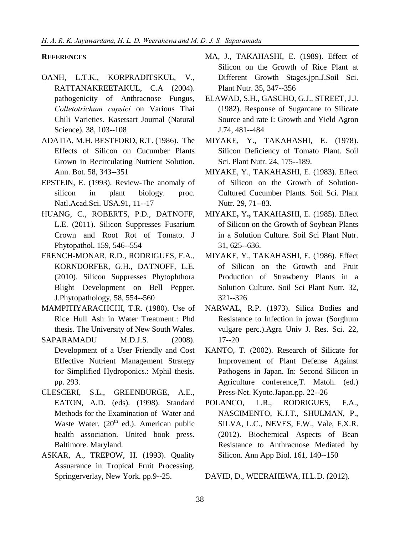## **REFERENCES**

- OANH, L.T.K., KORPRADITSKUL, V., RATTANAKREETAKUL, C.A (2004). pathogenicity of Anthracnose Fungus, *Colletotrichum capsici* on Various Thai Chili Varieties. Kasetsart Journal (Natural Science). 38, 103--108
- ADATIA, M.H. BESTFORD, R.T. (1986). The Effects of Silicon on Cucumber Plants Grown in Recirculating Nutrient Solution. Ann. Bot. 58, 343--351
- EPSTEIN, E. (1993). Review-The anomaly of silicon in plant biology. proc. Natl.Acad.Sci. USA.91, 11--17
- HUANG, C., ROBERTS, P.D., DATNOFF, L.E. (2011). Silicon Suppresses Fusarium Crown and Root Rot of Tomato. J Phytopathol. 159, 546--554
- FRENCH-MONAR, R.D., RODRIGUES, F.A., KORNDORFER, G.H., DATNOFF, L.E. (2010). Silicon Suppresses Phytophthora Blight Development on Bell Pepper. J.Phytopathology, 58, 554--560
- MAMPITIYARACHCHI, T.R. (1980). Use of Rice Hull Ash in Water Treatment.: Phd thesis. The University of New South Wales.
- SAPARAMADU M.D.J.S. (2008). Development of a User Friendly and Cost Effective Nutrient Management Strategy for Simplified Hydroponics.: Mphil thesis. pp. 293.
- CLESCERI, S.L., GREENBURGE, A.E., EATON, A.D. (eds). (1998). Standard Methods for the Examination of Water and Waste Water.  $(20<sup>th</sup>$  ed.). American public health association. United book press. Baltimore. Maryland.
- ASKAR, A., TREPOW, H. (1993). Quality Assuarance in Tropical Fruit Processing. Springerverlay, New York. pp.9--25.
- MA, J., TAKAHASHI, E. (1989). Effect of Silicon on the Growth of Rice Plant at Different Growth Stages.jpn.J.Soil Sci. Plant Nutr. 35, 347--356
- ELAWAD, S.H., GASCHO, G.J., STREET, J.J. (1982). Response of Sugarcane to Silicate Source and rate I: Growth and Yield Agron J.74, 481--484
- MIYAKE, Y., TAKAHASHI, E. (1978). Silicon Deficiency of Tomato Plant. Soil Sci. Plant Nutr. 24, 175--189.
- MIYAKE, Y., TAKAHASHI, E. (1983). Effect of Silicon on the Growth of Solution-Cultured Cucumber Plants. Soil Sci. Plant Nutr. 29, 71--83.
- MIYAKE**,** Y**.,** TAKAHASHI, E. (1985). Effect of Silicon on the Growth of Soybean Plants in a Solution Culture. Soil Sci Plant Nutr. 31, 625--636.
- MIYAKE, Y., TAKAHASHI, E. (1986). Effect of Silicon on the Growth and Fruit Production of Strawberry Plants in a Solution Culture. Soil Sci Plant Nutr. 32, 321--326
- NARWAL, R.P. (1973). Silica Bodies and Resistance to Infection in jowar (Sorghum vulgare perc.).Agra Univ J. Res. Sci. 22, 17--20
- KANTO, T. (2002). Research of Silicate for Improvement of Plant Defense Against Pathogens in Japan. In: Second Silicon in Agriculture conference,T. Matoh. (ed.) Press-Net. Kyoto.Japan.pp. 22--26
- POLANCO, L.R., RODRIGUES, F.A., NASCIMENTO, K.J.T., SHULMAN, P., SILVA, L.C., NEVES, F.W., Vale, F.X.R. (2012). Biochemical Aspects of Bean Resistance to Anthracnose Mediated by Silicon. Ann App Biol. 161, 140--150

DAVID, D., WEERAHEWA, H.L.D. (2012).